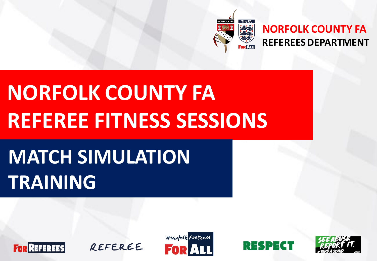

#### **NORFOLK COUNTY FA REFEREES DEPARTMENT**

# **NORFOLK COUNTY FA REFEREE FITNESS SESSIONS**

# **MATCH SIMULATION TRAINING**







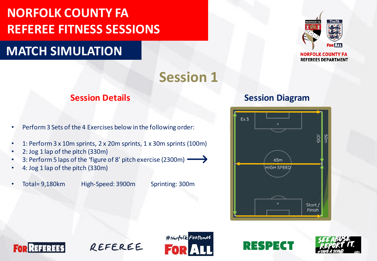#### **MATCH SIMULATION**



**REFEREES DEPARTMENT** 

# **Session 1**

- Perform 3 Sets of the 4 Exercises below in the following order:
- 1: Perform 3 x 10m sprints, 2 x 20m sprints, 1 x 30m sprints (100m)
- 2: Jog 1 lap of the pitch (330m)
- 3: Perform 5 laps of the 'figure of 8' pitch exercise (2300m)
- 4: Jog 1 lap of the pitch (330m)
- 

• Total= 9,180km High-Speed: 3900m Sprinting: 300m

#### **Session Details Session Diagram**









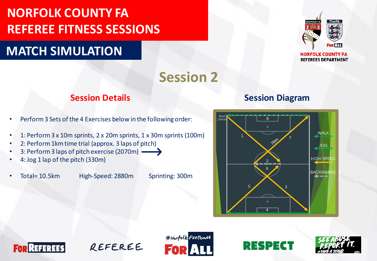#### **MATCH SIMULATION**



**REFEREES DEPARTMENT** 

**Session 2**

- Perform 3 Sets of the 4 Exercises below in the following order:
- 1: Perform 3 x 10m sprints, 2 x 20m sprints, 1 x 30m sprints (100m)
- 2: Perform 1km time trial (approx. 3 laps of pitch)
- 3: Perform 3 laps of pitch exercise (2070m)  $\longrightarrow$
- 4: Jog 1 lap of the pitch (330m)
- 

• Total= 10.5km High-Speed: 2880m Sprinting: 300m

#### **Session Details Session Diagram**









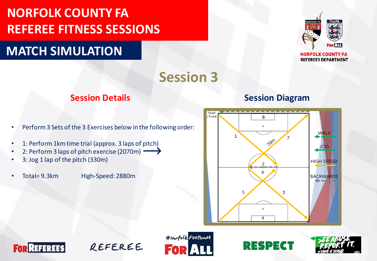#### **MATCH SIMULATION**



**REFEREES DEPARTMENT** 

### **Session 3**

- Perform 3 Sets of the 3 Exercises below in the following order:
- 1: Perform 1km time trial (approx. 3 laps of pitch)
- 2: Perform 3 laps of pitch exercise (2070m)
- 3: Jog 1 lap of the pitch (330m)
- Total= 9.3km High-Speed: 2880m

#### **Session Details Session Diagram**









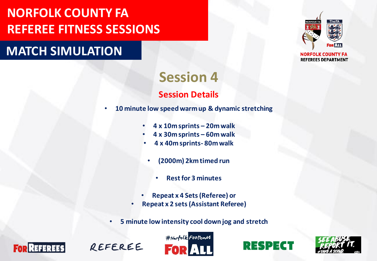#### **MATCH SIMULATION**



**NORFOLK COUNTY FA REFEREES DEPARTMENT** 

#### **Session 4 Session Details**

- **10 minute low speed warm up & dynamic stretching**
	- **4 x 10m sprints – 20m walk**
	- **4 x 30m sprints – 60m walk**
	- **4 x 40m sprints- 80m walk**
	- **(2000m) 2km timed run**
		- **Rest for 3 minutes**
	- **Repeat x 4 Sets (Referee) or**
	- **Repeat x 2 sets (Assistant Referee)**
	- **5 minute low intensity cool down jog and stretch**